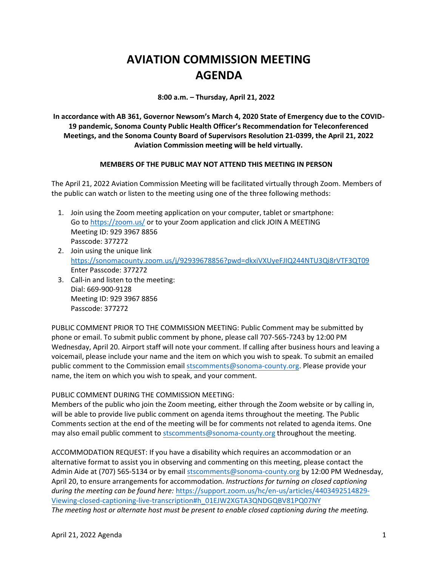## **AVIATION COMMISSION MEETING AGENDA**

**8:00 a.m. – Thursday, April 21, 2022** 

**In accordance with AB 361, Governor Newsom's March 4, 2020 State of Emergency due to the COVID-19 pandemic, Sonoma County Public Health Officer's Recommendation for Teleconferenced Meetings, and the Sonoma County Board of Supervisors Resolution 21-0399, the April 21, 2022 Aviation Commission meeting will be held virtually.** 

## **MEMBERS OF THE PUBLIC MAY NOT ATTEND THIS MEETING IN PERSON**

The April 21, 2022 Aviation Commission Meeting will be facilitated virtually through Zoom. Members of the public can watch or listen to the meeting using one of the three following methods:

- 1. Join using the Zoom meeting application on your computer, tablet or smartphone: Go to<https://zoom.us/> or to your Zoom application and click JOIN A MEETING Meeting ID: 929 3967 8856 Passcode: 377272
- 2. Join using the unique link <https://sonomacounty.zoom.us/j/92939678856?pwd=dkxiVXUyeFJIQ244NTU3Qi8rVTF3QT09> Enter Passcode: 377272
- 3. Call-in and listen to the meeting: Dial: 669-900-9128 Meeting ID: 929 3967 8856 Passcode: 377272

PUBLIC COMMENT PRIOR TO THE COMMISSION MEETING: Public Comment may be submitted by phone or email. To submit public comment by phone, please call 707-565-7243 by 12:00 PM Wednesday, April 20. Airport staff will note your comment. If calling after business hours and leaving a voicemail, please include your name and the item on which you wish to speak. To submit an emailed public comment to the Commission email [stscomments@sonoma-county.org.](mailto:stscomments@sonoma-county.org) Please provide your name, the item on which you wish to speak, and your comment.

## PUBLIC COMMENT DURING THE COMMISSION MEETING:

Members of the public who join the Zoom meeting, either through the Zoom website or by calling in, will be able to provide live public comment on agenda items throughout the meeting. The Public Comments section at the end of the meeting will be for comments not related to agenda items. One may also email public comment to [stscomments@sonoma-county.org](mailto:stscomments@sonoma-county.org) throughout the meeting.

ACCOMMODATION REQUEST: If you have a disability which requires an accommodation or an alternative format to assist you in observing and commenting on this meeting, please contact the Admin Aide at (707) 565-5134 or by email [stscomments@sonoma-county.org](mailto:stscomments@sonoma-county.org) by 12:00 PM Wednesday, April 20, to ensure arrangements for accommodation. *Instructions for turning on closed captioning during the meeting can be found here:* [https://support.zoom.us/hc/en-us/articles/4403492514829-](https://support.zoom.us/hc/en-us/articles/4403492514829-Viewing-closed-captioning-live-transcription#h_01EJW2XGTA3QNDGQBV81PQ07NY) [Viewing-closed-captioning-live-transcription#h\\_01EJW2XGTA3QNDGQBV81PQ07NY](https://support.zoom.us/hc/en-us/articles/4403492514829-Viewing-closed-captioning-live-transcription#h_01EJW2XGTA3QNDGQBV81PQ07NY) *The meeting host or alternate host must be present to enable closed captioning during the meeting.*